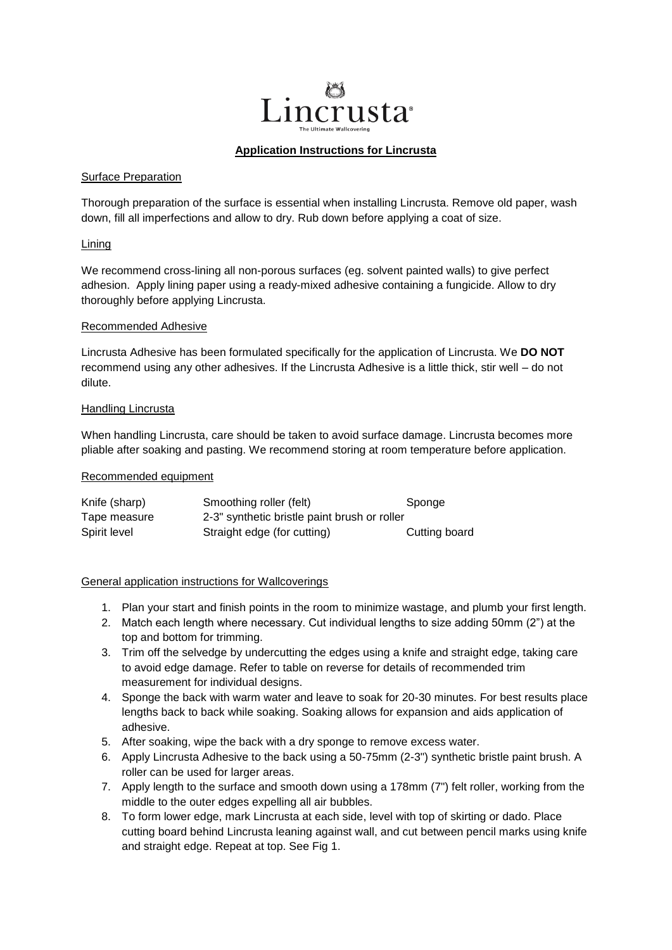

## **Application Instructions for Lincrusta**

### Surface Preparation

Thorough preparation of the surface is essential when installing Lincrusta. Remove old paper, wash down, fill all imperfections and allow to dry. Rub down before applying a coat of size.

## Lining

We recommend cross-lining all non-porous surfaces (eg. solvent painted walls) to give perfect adhesion. Apply lining paper using a ready-mixed adhesive containing a fungicide. Allow to dry thoroughly before applying Lincrusta.

### Recommended Adhesive

Lincrusta Adhesive has been formulated specifically for the application of Lincrusta. We **DO NOT**  recommend using any other adhesives. If the Lincrusta Adhesive is a little thick, stir well – do not dilute.

## Handling Lincrusta

When handling Lincrusta, care should be taken to avoid surface damage. Lincrusta becomes more pliable after soaking and pasting. We recommend storing at room temperature before application.

### Recommended equipment

| Knife (sharp) | Smoothing roller (felt)                      | Sponge        |
|---------------|----------------------------------------------|---------------|
| Tape measure  | 2-3" synthetic bristle paint brush or roller |               |
| Spirit level  | Straight edge (for cutting)                  | Cutting board |

# General application instructions for Wallcoverings

- 1. Plan your start and finish points in the room to minimize wastage, and plumb your first length.
- 2. Match each length where necessary. Cut individual lengths to size adding 50mm (2") at the top and bottom for trimming.
- 3. Trim off the selvedge by undercutting the edges using a knife and straight edge, taking care to avoid edge damage. Refer to table on reverse for details of recommended trim measurement for individual designs.
- 4. Sponge the back with warm water and leave to soak for 20-30 minutes. For best results place lengths back to back while soaking. Soaking allows for expansion and aids application of adhesive.
- 5. After soaking, wipe the back with a dry sponge to remove excess water.
- 6. Apply Lincrusta Adhesive to the back using a 50-75mm (2-3") synthetic bristle paint brush. A roller can be used for larger areas.
- 7. Apply length to the surface and smooth down using a 178mm (7") felt roller, working from the middle to the outer edges expelling all air bubbles.
- 8. To form lower edge, mark Lincrusta at each side, level with top of skirting or dado. Place cutting board behind Lincrusta leaning against wall, and cut between pencil marks using knife and straight edge. Repeat at top. See Fig 1.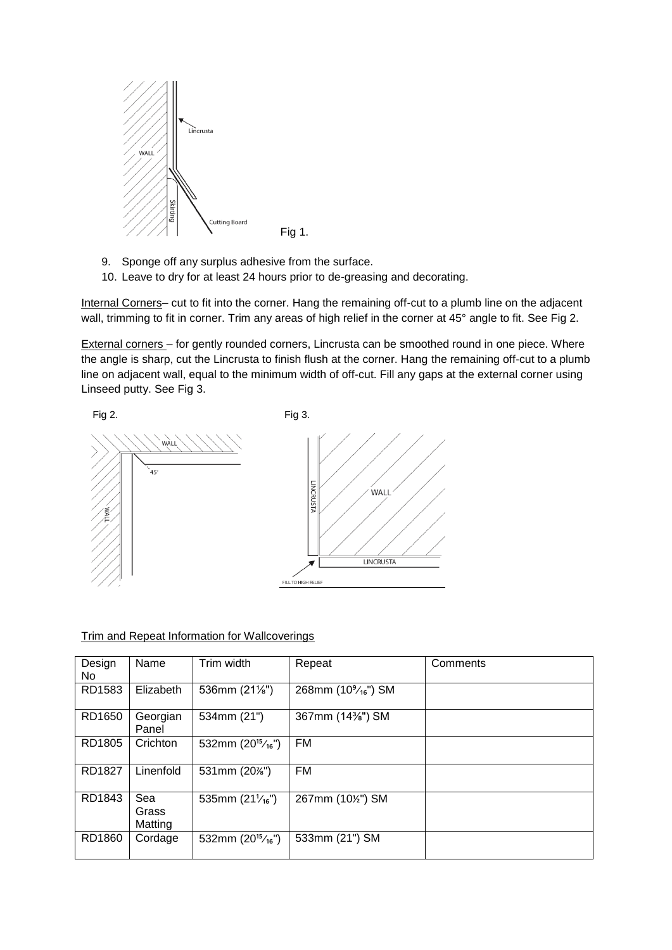

- 9. Sponge off any surplus adhesive from the surface.
- 10. Leave to dry for at least 24 hours prior to de-greasing and decorating.

Internal Corners– cut to fit into the corner. Hang the remaining off-cut to a plumb line on the adjacent wall, trimming to fit in corner. Trim any areas of high relief in the corner at 45° angle to fit. See Fig 2.

External corners – for gently rounded corners, Lincrusta can be smoothed round in one piece. Where the angle is sharp, cut the Lincrusta to finish flush at the corner. Hang the remaining off-cut to a plumb line on adjacent wall, equal to the minimum width of off-cut. Fill any gaps at the external corner using Linseed putty. See Fig 3.



# Trim and Repeat Information for Wallcoverings

| Design<br>No | Name                    | Trim width               | Repeat                                       | Comments |
|--------------|-------------------------|--------------------------|----------------------------------------------|----------|
| RD1583       | Elizabeth               | 536mm (21%")             | 268mm (10 <sup>9</sup> / <sub>16</sub> ") SM |          |
| RD1650       | Georgian<br>Panel       | 534mm (21")              | 367mm (14%") SM                              |          |
| RD1805       | Crichton                | 532mm $(20^{15}/_{16})$  | <b>FM</b>                                    |          |
| RD1827       | Linenfold               | 531mm (20%")             | <b>FM</b>                                    |          |
| RD1843       | Sea<br>Grass<br>Matting | 535mm $(21\frac{1}{16})$ | 267mm (10%") SM                              |          |
| RD1860       | Cordage                 | 532mm $(20^{15}/_{16})$  | 533mm (21") SM                               |          |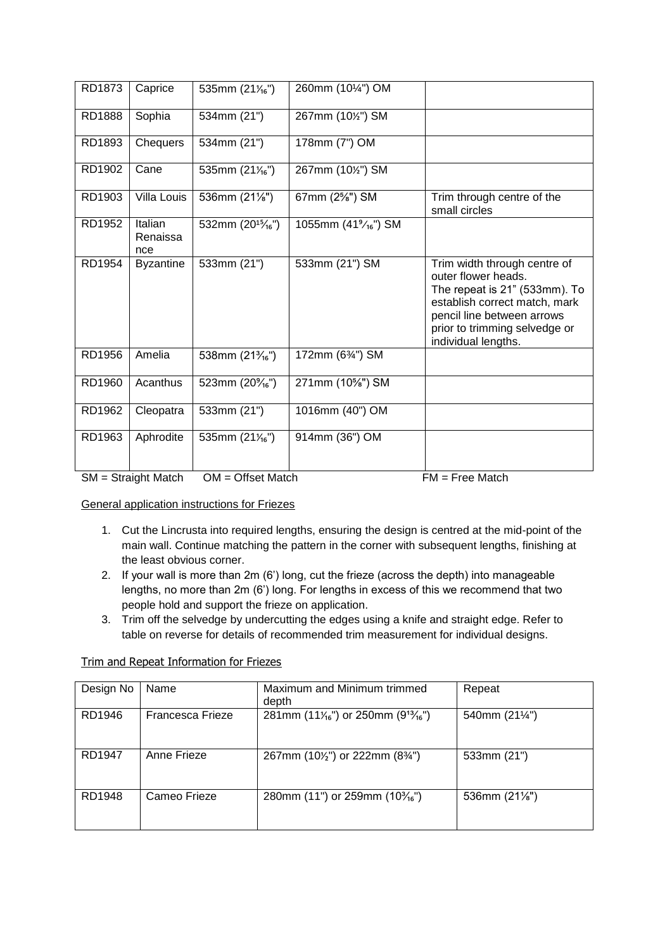| RD1873 | Caprice                    | 535mm $(21\frac{1}{16})$                   | 260mm (101/4") OM               |                                                                                                                                                                                                             |
|--------|----------------------------|--------------------------------------------|---------------------------------|-------------------------------------------------------------------------------------------------------------------------------------------------------------------------------------------------------------|
| RD1888 | Sophia                     | 534mm (21")                                | 267mm (10%") SM                 |                                                                                                                                                                                                             |
| RD1893 | Chequers                   | 534mm (21")                                | 178mm (7") OM                   |                                                                                                                                                                                                             |
| RD1902 | Cane                       | 535mm $(21\frac{1}{16})$                   | 267mm (10%") SM                 |                                                                                                                                                                                                             |
| RD1903 | Villa Louis                | 536mm (21%")                               | 67mm (2%") SM                   | Trim through centre of the<br>small circles                                                                                                                                                                 |
| RD1952 | Italian<br>Renaissa<br>nce | 532mm (20 <sup>15</sup> / <sub>16</sub> ") | 1055mm (41% <sub>16</sub> ") SM |                                                                                                                                                                                                             |
| RD1954 | <b>Byzantine</b>           | 533mm (21")                                | 533mm (21") SM                  | Trim width through centre of<br>outer flower heads.<br>The repeat is 21" (533mm). To<br>establish correct match, mark<br>pencil line between arrows<br>prior to trimming selvedge or<br>individual lengths. |
| RD1956 | Amelia                     | 538mm (21 <sup>3</sup> / <sub>16</sub> ")  | 172mm (634") SM                 |                                                                                                                                                                                                             |
| RD1960 | Acanthus                   | 523mm $(20\frac{9}{16})$                   | 271mm (10%") SM                 |                                                                                                                                                                                                             |
| RD1962 | Cleopatra                  | 533mm (21")                                | 1016mm (40") OM                 |                                                                                                                                                                                                             |
| RD1963 | Aphrodite                  | 535mm (211/16")                            | 914mm (36") OM                  |                                                                                                                                                                                                             |
|        | $SM = Straight Match$      | $OM =$ Offset Match                        |                                 | $FM = Free Match$                                                                                                                                                                                           |

General application instructions for Friezes

- 1. Cut the Lincrusta into required lengths, ensuring the design is centred at the mid-point of the main wall. Continue matching the pattern in the corner with subsequent lengths, finishing at the least obvious corner.
- 2. If your wall is more than 2m (6') long, cut the frieze (across the depth) into manageable lengths, no more than 2m (6') long. For lengths in excess of this we recommend that two people hold and support the frieze on application.
- 3. Trim off the selvedge by undercutting the edges using a knife and straight edge. Refer to table on reverse for details of recommended trim measurement for individual designs.

# Trim and Repeat Information for Friezes

| Design No | Name             | Maximum and Minimum trimmed<br>depth                                     | Repeat                  |
|-----------|------------------|--------------------------------------------------------------------------|-------------------------|
| RD1946    | Francesca Frieze | 281mm (11 $\frac{1}{16}$ ") or 250mm (9 <sup>13</sup> / <sub>16</sub> ") | 540mm (211/4")          |
| RD1947    | Anne Frieze      | 267mm (10 $\frac{1}{2}$ ) or 222mm (8 $\frac{3}{4}$ )                    | 533mm (21")             |
| RD1948    | Cameo Frieze     | 280mm (11") or 259mm (10 $\frac{3}{16}$ ")                               | 536mm $(21\frac{1}{8})$ |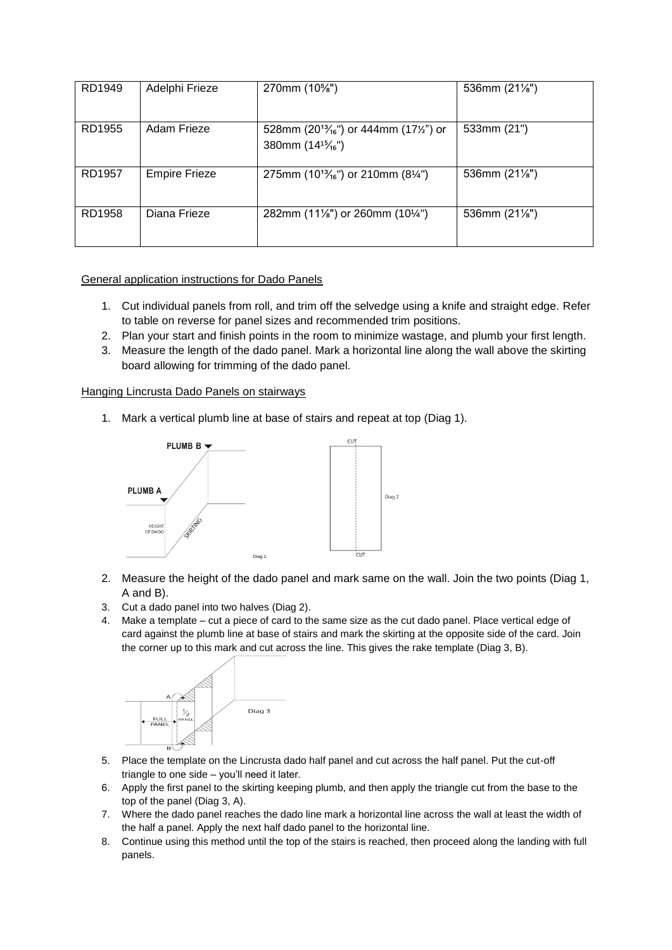| RD1949 | Adelphi Frieze       | 270mm (10%")                                                                                            | 536mm $(21\frac{1}{8})$ |
|--------|----------------------|---------------------------------------------------------------------------------------------------------|-------------------------|
| RD1955 | Adam Frieze          | 528mm (20 <sup>13</sup> / <sub>16</sub> ") or 444mm (17 <sup>1/2</sup> ") or<br>380mm $(14^{15}/_{16})$ | 533mm (21")             |
| RD1957 | <b>Empire Frieze</b> | 275mm (10 <sup>13</sup> / <sub>16</sub> ") or 210mm (8 <sup>1/4</sup> ")                                | 536mm $(21\frac{1}{8})$ |
| RD1958 | Diana Frieze         | 282mm (11%") or 260mm (10%")                                                                            | 536mm $(21\frac{1}{8})$ |

# General application instructions for Dado Panels

- 1. Cut individual panels from roll, and trim off the selvedge using a knife and straight edge. Refer to table on reverse for panel sizes and recommended trim positions.
- 2. Plan your start and finish points in the room to minimize wastage, and plumb your first length.
- 3. Measure the length of the dado panel. Mark a horizontal line along the wall above the skirting board allowing for trimming of the dado panel.

## Hanging Lincrusta Dado Panels on stairways

1. Mark a vertical plumb line at base of stairs and repeat at top (Diag 1).



- 2. Measure the height of the dado panel and mark same on the wall. Join the two points (Diag 1, A and B).
- 3. Cut a dado panel into two halves (Diag 2).
- 4. Make a template cut a piece of card to the same size as the cut dado panel. Place vertical edge of card against the plumb line at base of stairs and mark the skirting at the opposite side of the card. Join the corner up to this mark and cut across the line. This gives the rake template (Diag 3, B).



- 5. Place the template on the Lincrusta dado half panel and cut across the half panel. Put the cut-off triangle to one side – you'll need it later.
- 6. Apply the first panel to the skirting keeping plumb, and then apply the triangle cut from the base to the top of the panel (Diag 3, A).
- 7. Where the dado panel reaches the dado line mark a horizontal line across the wall at least the width of the half a panel. Apply the next half dado panel to the horizontal line.
- 8. Continue using this method until the top of the stairs is reached, then proceed along the landing with full panels.